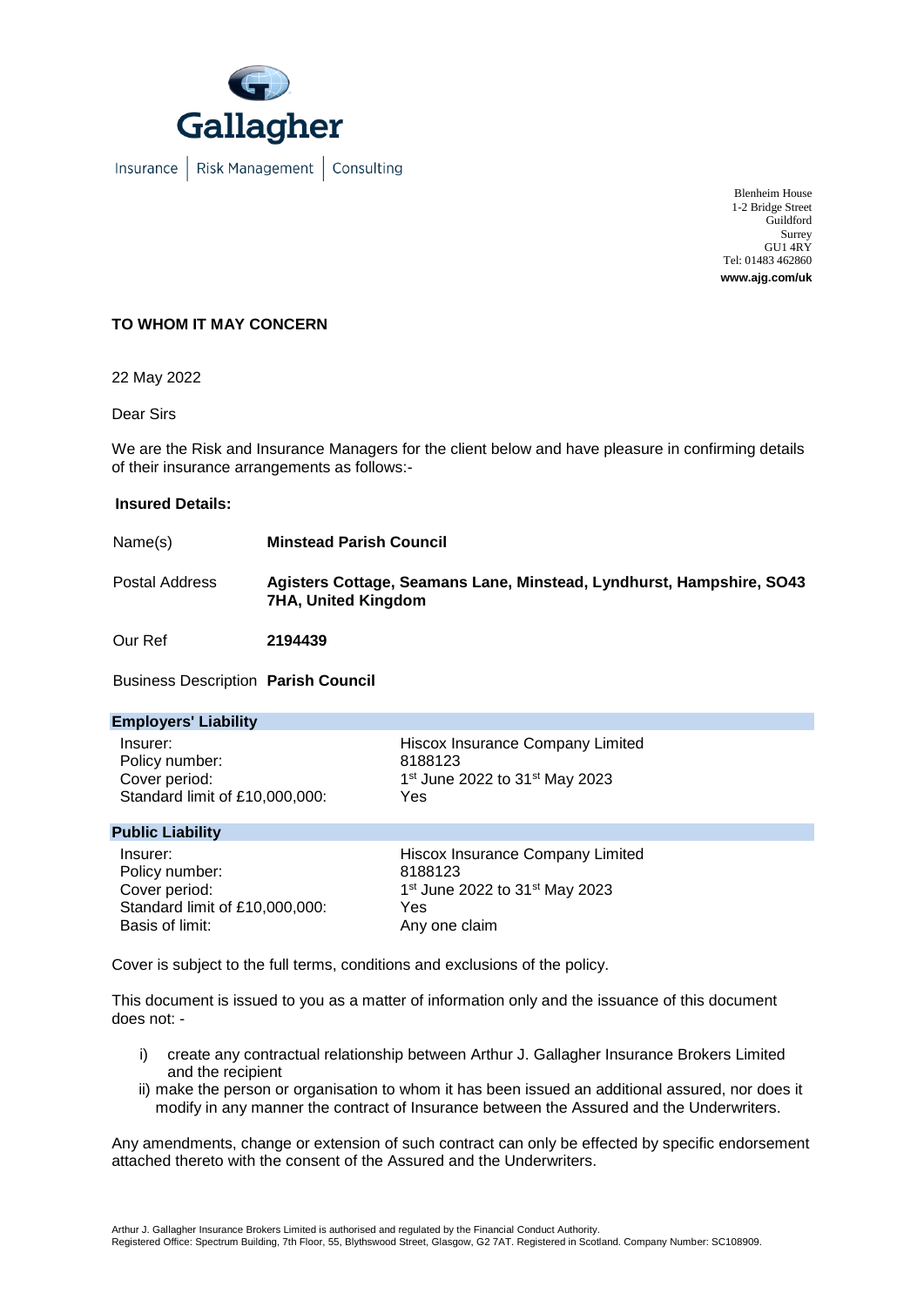

Insurance | Risk Management | Consulting

Blenheim House 1-2 Bridge Street Guildford Surrey GU1 4RY Tel: 01483 462860 **www.ajg.com/uk**

## **TO WHOM IT MAY CONCERN**

22 May 2022

Dear Sirs

We are the Risk and Insurance Managers for the client below and have pleasure in confirming details of their insurance arrangements as follows:-

## **Insured Details:**

Name(s) **Minstead Parish Council**

Postal Address **Agisters Cottage, Seamans Lane, Minstead, Lyndhurst, Hampshire, SO43 7HA, United Kingdom**

Our Ref **2194439**

Business Description **Parish Council**

| <b>Employers' Liability</b>                                                   |                                                                                                              |  |
|-------------------------------------------------------------------------------|--------------------------------------------------------------------------------------------------------------|--|
| Insurer:<br>Policy number:<br>Cover period:<br>Standard limit of £10,000,000: | Hiscox Insurance Company Limited<br>8188123<br>1 <sup>st</sup> June 2022 to 31 <sup>st</sup> May 2023<br>Yes |  |
| <b>Public Liability</b>                                                       |                                                                                                              |  |
| Insurer:                                                                      | Hiscox Insurance Company Limited                                                                             |  |

Policy number: 8188123 Cover period: Standard limit of £10,000,000: Yes<br>Basis of limit: Anv

1st June 2022 to 31st May 2023 Any one claim

Cover is subject to the full terms, conditions and exclusions of the policy.

This document is issued to you as a matter of information only and the issuance of this document does not: -

- i) create any contractual relationship between Arthur J. Gallagher Insurance Brokers Limited and the recipient
- ii) make the person or organisation to whom it has been issued an additional assured, nor does it modify in any manner the contract of Insurance between the Assured and the Underwriters.

Any amendments, change or extension of such contract can only be effected by specific endorsement attached thereto with the consent of the Assured and the Underwriters.